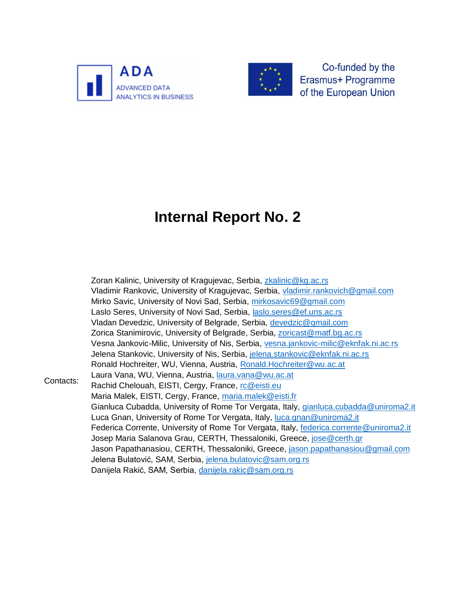



Co-funded by the Erasmus+ Programme of the European Union

# **Internal Report No. 2**

Contacts: Zoran Kalinic, University of Kragujevac, Serbia, [zkalinic@kg.ac.rs](mailto:zkalinic@kg.ac.rs) Vladimir Rankovic, University of Kragujevac, Serbia, [vladimir.rankovich@gmail.com](mailto:vladimir.rankovich@gmail.com) Mirko Savic, University of Novi Sad, Serbia, [mirkosavic69@gmail.com](mailto:mirkosavic69@gmail.com) Laslo Seres, University of Novi Sad, Serbia, [laslo.seres@ef.uns.ac.rs](mailto:laslo.seres@ef.uns.ac.rs) Vladan Devedzic, University of Belgrade, Serbia, [devedzic@gmail.com](mailto:devedzic@gmail.com) Zorica Stanimirovic, University of Belgrade, Serbia, [zoricast@matf.bg.ac.rs](mailto:zoricast@matf.bg.ac.rs) Vesna Jankovic-Milic, University of Nis, Serbia, [vesna.jankovic-milic@eknfak.ni.ac.rs](mailto:vesna.jankovic-milic@eknfak.ni.ac.rs) Jelena Stankovic, University of Nis, Serbia, [jelena.stankovic@eknfak.ni.ac.rs](mailto:jelena.stankovic@eknfak.ni.ac.rs) Ronald Hochreiter, WU, Vienna, Austria, [Ronald.Hochreiter@wu.ac.at](mailto:Ronald.Hochreiter@wu.ac.at) Laura Vana, WU, Vienna, Austria, [laura.vana@wu.ac.at](mailto:laura.vana@wu.ac.at) Rachid Chelouah, EISTI, Cergy, France, [rc@eisti.eu](mailto:rc@eisti.eu) Maria Malek, EISTI, Cergy, France, [maria.malek@eisti.fr](mailto:maria.malek@eisti.fr) Gianluca Cubadda, University of Rome Tor Vergata, Italy, [gianluca.cubadda@uniroma2.it](mailto:gianluca.cubadda@uniroma2.it) Luca Gnan, University of Rome Tor Vergata, Italy, [luca.gnan@uniroma2.it](mailto:luca.gnan@uniroma2.it) Federica Corrente, University of Rome Tor Vergata, Italy, [federica.corrente@uniroma2.it](mailto:federica.corrente@uniroma2.it) Josep Maria Salanova Grau, CERTH, Thessaloniki, Greece, [jose@certh.gr](mailto:jose@certh.gr) Jason Papathanasiou, CERTH, Thessaloniki, Greece, [jason.papathanasiou@gmail.com](mailto:jason.papathanasiou@gmail.com) Jelena Bulatović, SAM, Serbia, [jelena.bulatovic@sam.org.rs](mailto:jelena.bulatovic@sam.org.rs) Danijela Rakić, SAM, Serbia, [danijela.rakic@sam.org.rs](mailto:danijela.rakic@sam.org.rs)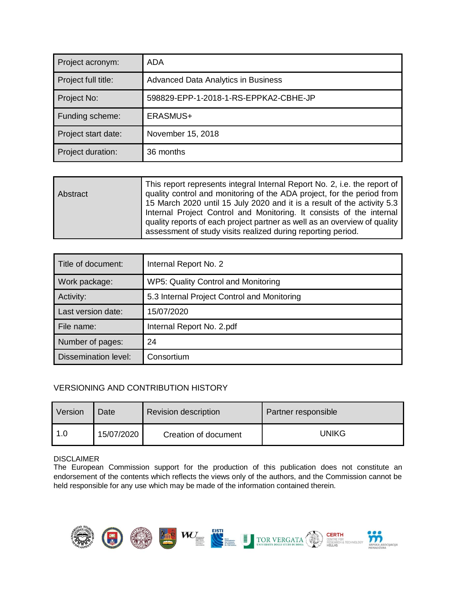| Project acronym:    | ADA                                        |
|---------------------|--------------------------------------------|
| Project full title: | <b>Advanced Data Analytics in Business</b> |
| Project No:         | 598829-EPP-1-2018-1-RS-EPPKA2-CBHE-JP      |
| Funding scheme:     | ERASMUS+                                   |
| Project start date: | November 15, 2018                          |
| Project duration:   | 36 months                                  |

| Abstract | This report represents integral Internal Report No. 2, i.e. the report of<br>quality control and monitoring of the ADA project, for the period from<br>15 March 2020 until 15 July 2020 and it is a result of the activity 5.3<br>Internal Project Control and Monitoring. It consists of the internal<br>quality reports of each project partner as well as an overview of quality |
|----------|-------------------------------------------------------------------------------------------------------------------------------------------------------------------------------------------------------------------------------------------------------------------------------------------------------------------------------------------------------------------------------------|
|          | assessment of study visits realized during reporting period.                                                                                                                                                                                                                                                                                                                        |

| Title of document:          | Internal Report No. 2                       |
|-----------------------------|---------------------------------------------|
| Work package:               | WP5: Quality Control and Monitoring         |
| Activity:                   | 5.3 Internal Project Control and Monitoring |
| Last version date:          | 15/07/2020                                  |
| File name:                  | Internal Report No. 2.pdf                   |
| Number of pages:            | 24                                          |
| <b>Dissemination level:</b> | Consortium                                  |

#### VERSIONING AND CONTRIBUTION HISTORY

| Version | Date       | <b>Revision description</b> | Partner responsible |
|---------|------------|-----------------------------|---------------------|
| 1.0     | 15/07/2020 | Creation of document        | UNIKG               |

#### DISCLAIMER

The European Commission support for the production of this publication does not constitute an endorsement of the contents which reflects the views only of the authors, and the Commission cannot be held responsible for any use which may be made of the information contained therein.

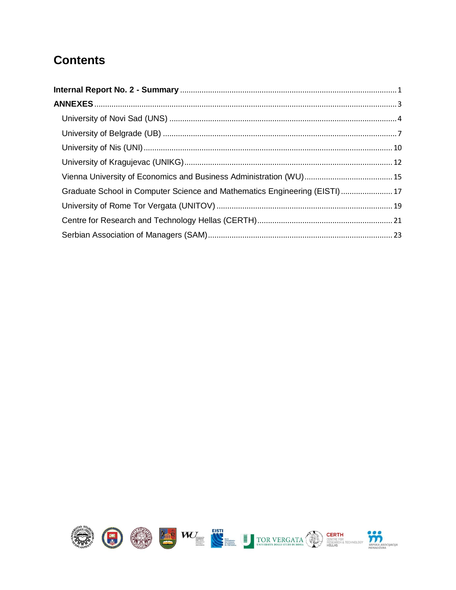#### **Contents**

| Graduate School in Computer Science and Mathematics Engineering (EISTI) 17 |  |
|----------------------------------------------------------------------------|--|
|                                                                            |  |
|                                                                            |  |
|                                                                            |  |

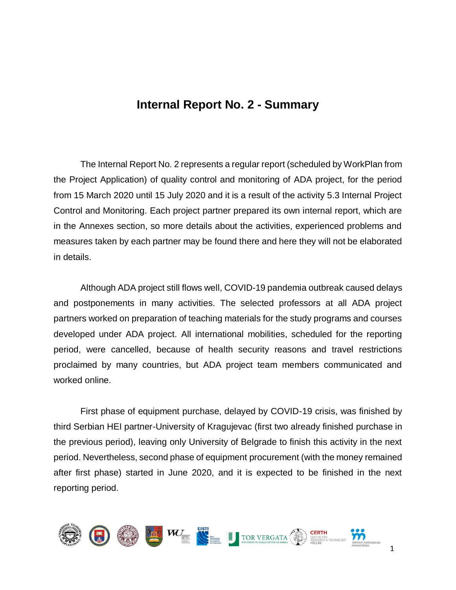#### **Internal Report No. 2 - Summary**

<span id="page-3-0"></span>The Internal Report No. 2 represents a regular report (scheduled by WorkPlan from the Project Application) of quality control and monitoring of ADA project, for the period from 15 March 2020 until 15 July 2020 and it is a result of the activity 5.3 Internal Project Control and Monitoring. Each project partner prepared its own internal report, which are in the Annexes section, so more details about the activities, experienced problems and measures taken by each partner may be found there and here they will not be elaborated in details.

Although ADA project still flows well, COVID-19 pandemia outbreak caused delays and postponements in many activities. The selected professors at all ADA project partners worked on preparation of teaching materials for the study programs and courses developed under ADA project. All international mobilities, scheduled for the reporting period, were cancelled, because of health security reasons and travel restrictions proclaimed by many countries, but ADA project team members communicated and worked online.

First phase of equipment purchase, delayed by COVID-19 crisis, was finished by third Serbian HEI partner-University of Kragujevac (first two already finished purchase in the previous period), leaving only University of Belgrade to finish this activity in the next period. Nevertheless, second phase of equipment procurement (with the money remained after first phase) started in June 2020, and it is expected to be finished in the next reporting period.

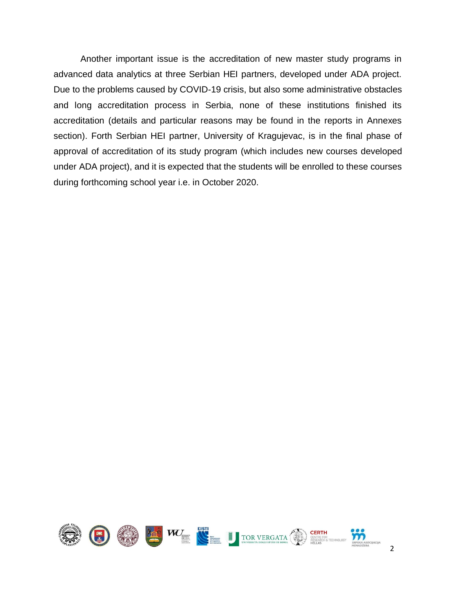Another important issue is the accreditation of new master study programs in advanced data analytics at three Serbian HEI partners, developed under ADA project. Due to the problems caused by COVID-19 crisis, but also some administrative obstacles and long accreditation process in Serbia, none of these institutions finished its accreditation (details and particular reasons may be found in the reports in Annexes section). Forth Serbian HEI partner, University of Kragujevac, is in the final phase of approval of accreditation of its study program (which includes new courses developed under ADA project), and it is expected that the students will be enrolled to these courses during forthcoming school year i.e. in October 2020.

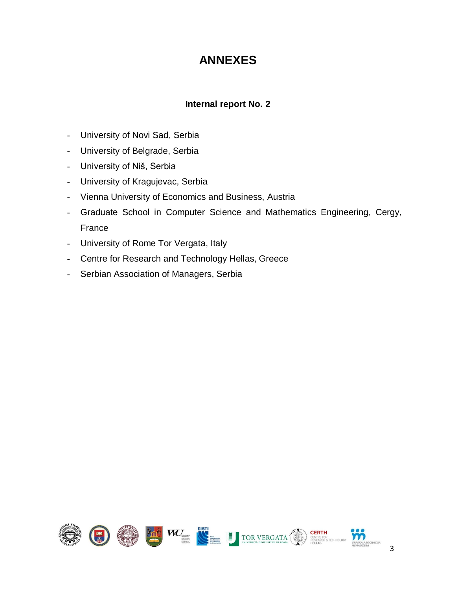#### **ANNEXES**

#### **Internal report No. 2**

- <span id="page-5-0"></span>- University of Novi Sad, Serbia
- University of Belgrade, Serbia
- University of Niš, Serbia
- University of Kragujevac, Serbia
- Vienna University of Economics and Business, Austria
- Graduate School in Computer Science and Mathematics Engineering, Cergy, France
- University of Rome Tor Vergata, Italy
- Centre for Research and Technology Hellas, Greece
- Serbian Association of Managers, Serbia

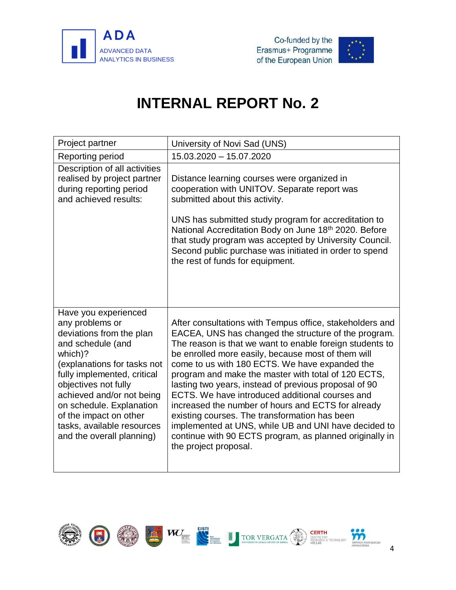



<span id="page-6-0"></span>

| Project partner                                                                                                                                                                                                                                                                                                                         | University of Novi Sad (UNS)                                                                                                                                                                                                                                                                                                                                                                                                                                                                                                                                                                                                                                                                               |
|-----------------------------------------------------------------------------------------------------------------------------------------------------------------------------------------------------------------------------------------------------------------------------------------------------------------------------------------|------------------------------------------------------------------------------------------------------------------------------------------------------------------------------------------------------------------------------------------------------------------------------------------------------------------------------------------------------------------------------------------------------------------------------------------------------------------------------------------------------------------------------------------------------------------------------------------------------------------------------------------------------------------------------------------------------------|
| Reporting period                                                                                                                                                                                                                                                                                                                        | 15.03.2020 - 15.07.2020                                                                                                                                                                                                                                                                                                                                                                                                                                                                                                                                                                                                                                                                                    |
| Description of all activities<br>realised by project partner<br>during reporting period<br>and achieved results:                                                                                                                                                                                                                        | Distance learning courses were organized in<br>cooperation with UNITOV. Separate report was<br>submitted about this activity.<br>UNS has submitted study program for accreditation to<br>National Accreditation Body on June 18th 2020. Before<br>that study program was accepted by University Council.<br>Second public purchase was initiated in order to spend<br>the rest of funds for equipment.                                                                                                                                                                                                                                                                                                     |
| Have you experienced<br>any problems or<br>deviations from the plan<br>and schedule (and<br>which)?<br>(explanations for tasks not<br>fully implemented, critical<br>objectives not fully<br>achieved and/or not being<br>on schedule. Explanation<br>of the impact on other<br>tasks, available resources<br>and the overall planning) | After consultations with Tempus office, stakeholders and<br>EACEA, UNS has changed the structure of the program.<br>The reason is that we want to enable foreign students to<br>be enrolled more easily, because most of them will<br>come to us with 180 ECTS. We have expanded the<br>program and make the master with total of 120 ECTS,<br>lasting two years, instead of previous proposal of 90<br>ECTS. We have introduced additional courses and<br>increased the number of hours and ECTS for already<br>existing courses. The transformation has been<br>implemented at UNS, while UB and UNI have decided to<br>continue with 90 ECTS program, as planned originally in<br>the project proposal. |

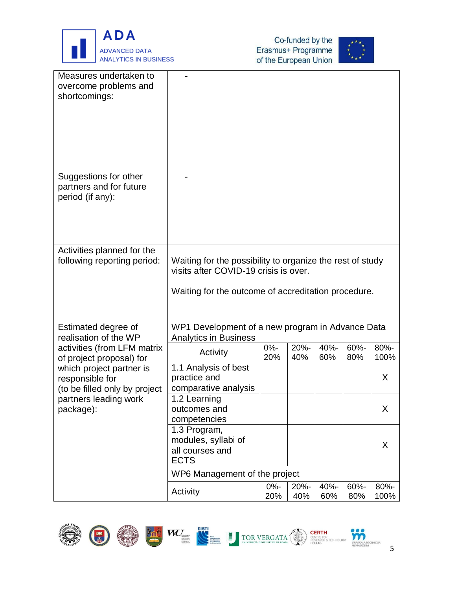





| Measures undertaken to<br>overcome problems and<br>shortcomings:             |                                                                                                                                                           |               |             |             |             |              |
|------------------------------------------------------------------------------|-----------------------------------------------------------------------------------------------------------------------------------------------------------|---------------|-------------|-------------|-------------|--------------|
|                                                                              |                                                                                                                                                           |               |             |             |             |              |
| Suggestions for other<br>partners and for future<br>period (if any):         |                                                                                                                                                           |               |             |             |             |              |
| Activities planned for the<br>following reporting period:                    | Waiting for the possibility to organize the rest of study<br>visits after COVID-19 crisis is over.<br>Waiting for the outcome of accreditation procedure. |               |             |             |             |              |
| Estimated degree of<br>realisation of the WP                                 | WP1 Development of a new program in Advance Data<br><b>Analytics in Business</b>                                                                          |               |             |             |             |              |
| activities (from LFM matrix<br>of project proposal) for                      | Activity                                                                                                                                                  | $0% -$<br>20% | 20%-<br>40% | 40%-<br>60% | 60%-<br>80% | 80%-<br>100% |
| which project partner is<br>responsible for<br>(to be filled only by project | 1.1 Analysis of best<br>practice and<br>comparative analysis                                                                                              |               |             |             |             | X            |
| partners leading work<br>package):                                           | 1.2 Learning<br>outcomes and<br>competencies                                                                                                              |               |             |             |             | X            |
|                                                                              | 1.3 Program,<br>modules, syllabi of<br>all courses and<br><b>ECTS</b>                                                                                     |               |             |             |             | X            |
|                                                                              | WP6 Management of the project                                                                                                                             |               |             |             |             |              |
|                                                                              | Activity                                                                                                                                                  | $0% -$<br>20% | 20%-<br>40% | 40%-<br>60% | 60%-<br>80% | 80%-<br>100% |











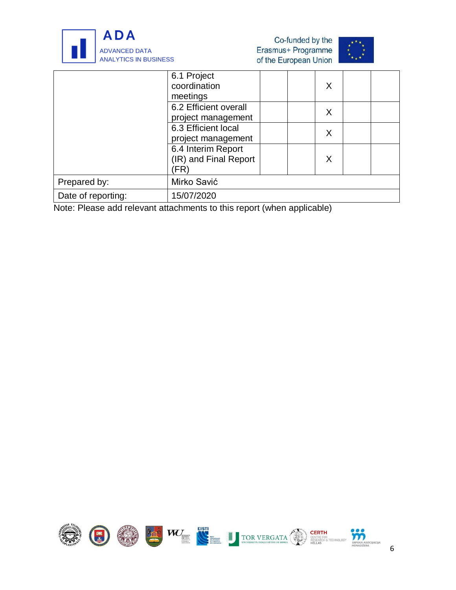

| Co-funded by the      |
|-----------------------|
| Erasmus+ Programme    |
| of the European Union |



|                    | 6.1 Project<br>coordination<br>meetings             | X |  |
|--------------------|-----------------------------------------------------|---|--|
|                    | 6.2 Efficient overall<br>project management         | X |  |
|                    | 6.3 Efficient local<br>project management           | X |  |
|                    | 6.4 Interim Report<br>(IR) and Final Report<br>'FR' | X |  |
| Prepared by:       | Mirko Savić                                         |   |  |
| Date of reporting: | 15/07/2020                                          |   |  |

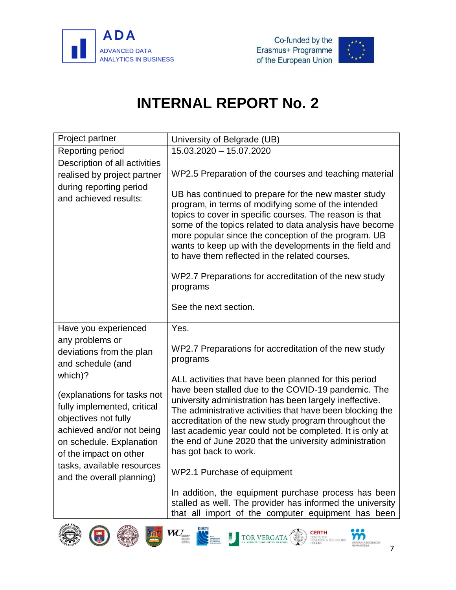



<span id="page-9-0"></span>

| Project partner                                                                                                                                                                                                                                                                                                                         | University of Belgrade (UB)                                                                                                                                                                                                                                                                                                                                                                                                                                                                                                                                                                                                                                                                                                          |
|-----------------------------------------------------------------------------------------------------------------------------------------------------------------------------------------------------------------------------------------------------------------------------------------------------------------------------------------|--------------------------------------------------------------------------------------------------------------------------------------------------------------------------------------------------------------------------------------------------------------------------------------------------------------------------------------------------------------------------------------------------------------------------------------------------------------------------------------------------------------------------------------------------------------------------------------------------------------------------------------------------------------------------------------------------------------------------------------|
| Reporting period                                                                                                                                                                                                                                                                                                                        | 15.03.2020 - 15.07.2020                                                                                                                                                                                                                                                                                                                                                                                                                                                                                                                                                                                                                                                                                                              |
| Description of all activities<br>realised by project partner<br>during reporting period<br>and achieved results:                                                                                                                                                                                                                        | WP2.5 Preparation of the courses and teaching material<br>UB has continued to prepare for the new master study<br>program, in terms of modifying some of the intended<br>topics to cover in specific courses. The reason is that<br>some of the topics related to data analysis have become<br>more popular since the conception of the program. UB<br>wants to keep up with the developments in the field and<br>to have them reflected in the related courses.<br>WP2.7 Preparations for accreditation of the new study<br>programs<br>See the next section.                                                                                                                                                                       |
| Have you experienced<br>any problems or<br>deviations from the plan<br>and schedule (and<br>which)?<br>(explanations for tasks not<br>fully implemented, critical<br>objectives not fully<br>achieved and/or not being<br>on schedule. Explanation<br>of the impact on other<br>tasks, available resources<br>and the overall planning) | Yes.<br>WP2.7 Preparations for accreditation of the new study<br>programs<br>ALL activities that have been planned for this period<br>have been stalled due to the COVID-19 pandemic. The<br>university administration has been largely ineffective.<br>The administrative activities that have been blocking the<br>accreditation of the new study program throughout the<br>last academic year could not be completed. It is only at<br>the end of June 2020 that the university administration<br>has got back to work.<br>WP2.1 Purchase of equipment<br>In addition, the equipment purchase process has been<br>stalled as well. The provider has informed the university<br>that all import of the computer equipment has been |
|                                                                                                                                                                                                                                                                                                                                         | EISTI<br>WU.<br>CERTH<br><b>TOR VERGAT</b><br><b>FECHNOLOG</b><br><b>RPSKA ASOCIJACIJA</b><br><b>IELLAS</b><br><b>IENADŽERA</b>                                                                                                                                                                                                                                                                                                                                                                                                                                                                                                                                                                                                      |









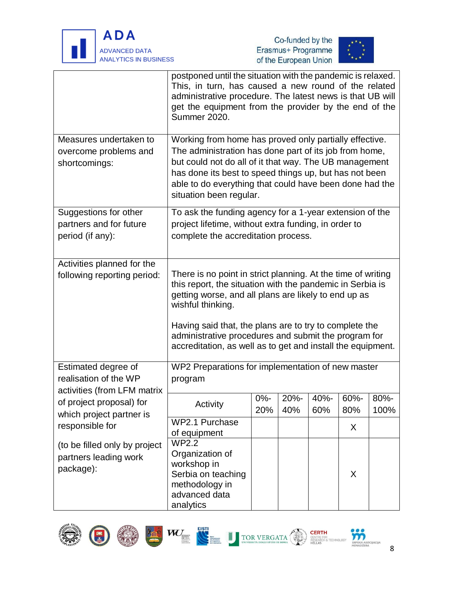





|                                                      | postponed until the situation with the pandemic is relaxed.<br>This, in turn, has caused a new round of the related<br>administrative procedure. The latest news is that UB will<br>get the equipment from the provider by the end of the<br>Summer 2020. |        |     |     |     |      |  |
|------------------------------------------------------|-----------------------------------------------------------------------------------------------------------------------------------------------------------------------------------------------------------------------------------------------------------|--------|-----|-----|-----|------|--|
| Measures undertaken to                               | Working from home has proved only partially effective.                                                                                                                                                                                                    |        |     |     |     |      |  |
| overcome problems and                                | The administration has done part of its job from home,                                                                                                                                                                                                    |        |     |     |     |      |  |
| shortcomings:                                        | but could not do all of it that way. The UB management                                                                                                                                                                                                    |        |     |     |     |      |  |
|                                                      | has done its best to speed things up, but has not been<br>able to do everything that could have been done had the                                                                                                                                         |        |     |     |     |      |  |
|                                                      | situation been regular.                                                                                                                                                                                                                                   |        |     |     |     |      |  |
|                                                      |                                                                                                                                                                                                                                                           |        |     |     |     |      |  |
| Suggestions for other                                | To ask the funding agency for a 1-year extension of the                                                                                                                                                                                                   |        |     |     |     |      |  |
| partners and for future<br>period (if any):          | project lifetime, without extra funding, in order to                                                                                                                                                                                                      |        |     |     |     |      |  |
|                                                      | complete the accreditation process.                                                                                                                                                                                                                       |        |     |     |     |      |  |
| Activities planned for the                           |                                                                                                                                                                                                                                                           |        |     |     |     |      |  |
| following reporting period:                          | There is no point in strict planning. At the time of writing                                                                                                                                                                                              |        |     |     |     |      |  |
|                                                      | this report, the situation with the pandemic in Serbia is                                                                                                                                                                                                 |        |     |     |     |      |  |
|                                                      | getting worse, and all plans are likely to end up as                                                                                                                                                                                                      |        |     |     |     |      |  |
|                                                      | wishful thinking.                                                                                                                                                                                                                                         |        |     |     |     |      |  |
|                                                      | Having said that, the plans are to try to complete the                                                                                                                                                                                                    |        |     |     |     |      |  |
|                                                      | administrative procedures and submit the program for                                                                                                                                                                                                      |        |     |     |     |      |  |
|                                                      | accreditation, as well as to get and install the equipment.                                                                                                                                                                                               |        |     |     |     |      |  |
| Estimated degree of                                  | WP2 Preparations for implementation of new master                                                                                                                                                                                                         |        |     |     |     |      |  |
| realisation of the WP                                | program                                                                                                                                                                                                                                                   |        |     |     |     |      |  |
| activities (from LFM matrix                          |                                                                                                                                                                                                                                                           | $0% -$ | 20% | 40% | 60% | 80%  |  |
| of project proposal) for<br>which project partner is | Activity                                                                                                                                                                                                                                                  | 20%    | 40% | 60% | 80% | 100% |  |
| responsible for                                      | <b>WP2.1 Purchase</b>                                                                                                                                                                                                                                     |        |     |     | X   |      |  |
|                                                      | of equipment                                                                                                                                                                                                                                              |        |     |     |     |      |  |
| (to be filled only by project                        | <b>WP2.2</b>                                                                                                                                                                                                                                              |        |     |     |     |      |  |
| partners leading work                                | Organization of<br>workshop in                                                                                                                                                                                                                            |        |     |     |     |      |  |
| package):                                            | Serbia on teaching                                                                                                                                                                                                                                        |        |     |     | X   |      |  |
|                                                      | methodology in                                                                                                                                                                                                                                            |        |     |     |     |      |  |
|                                                      | advanced data                                                                                                                                                                                                                                             |        |     |     |     |      |  |
|                                                      | analytics                                                                                                                                                                                                                                                 |        |     |     |     |      |  |









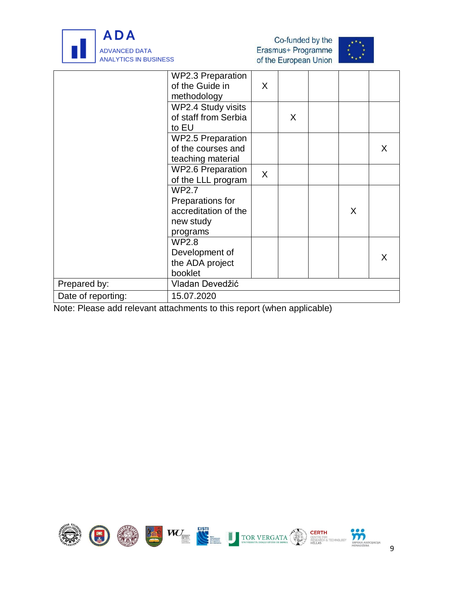





|                    | <b>WP2.3 Preparation</b> |              |   |   |    |
|--------------------|--------------------------|--------------|---|---|----|
|                    | of the Guide in          | X            |   |   |    |
|                    | methodology              |              |   |   |    |
|                    | WP2.4 Study visits       |              |   |   |    |
|                    | of staff from Serbia     |              | X |   |    |
|                    | to EU                    |              |   |   |    |
|                    | <b>WP2.5 Preparation</b> |              |   |   |    |
|                    | of the courses and       |              |   |   | X. |
|                    | teaching material        |              |   |   |    |
|                    | <b>WP2.6 Preparation</b> | $\mathsf{X}$ |   |   |    |
|                    | of the LLL program       |              |   |   |    |
|                    | <b>WP2.7</b>             |              |   |   |    |
|                    | Preparations for         |              |   |   |    |
|                    | accreditation of the     |              |   | X |    |
|                    | new study                |              |   |   |    |
|                    | programs                 |              |   |   |    |
|                    | <b>WP2.8</b>             |              |   |   |    |
|                    | Development of           |              |   |   | X  |
|                    | the ADA project          |              |   |   |    |
|                    | booklet                  |              |   |   |    |
| Prepared by:       | Vladan Devedžić          |              |   |   |    |
| Date of reporting: | 15.07.2020               |              |   |   |    |
|                    |                          |              |   |   |    |

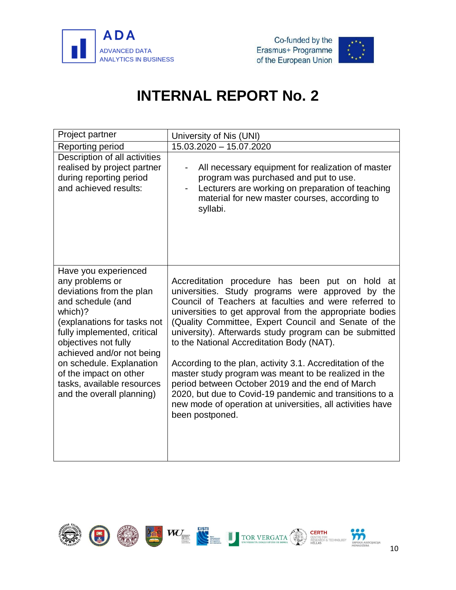





<span id="page-12-0"></span>

| Project partner                                                                                                                                                                                                                                                                                                                         | University of Nis (UNI)                                                                                                                                                                                                                                                                                                                                                                                                                                                                                                                                                                                                                                                                                       |
|-----------------------------------------------------------------------------------------------------------------------------------------------------------------------------------------------------------------------------------------------------------------------------------------------------------------------------------------|---------------------------------------------------------------------------------------------------------------------------------------------------------------------------------------------------------------------------------------------------------------------------------------------------------------------------------------------------------------------------------------------------------------------------------------------------------------------------------------------------------------------------------------------------------------------------------------------------------------------------------------------------------------------------------------------------------------|
| Reporting period                                                                                                                                                                                                                                                                                                                        | 15.03.2020 - 15.07.2020                                                                                                                                                                                                                                                                                                                                                                                                                                                                                                                                                                                                                                                                                       |
| Description of all activities<br>realised by project partner<br>during reporting period<br>and achieved results:                                                                                                                                                                                                                        | All necessary equipment for realization of master<br>program was purchased and put to use.<br>Lecturers are working on preparation of teaching<br>$\overline{\phantom{a}}$<br>material for new master courses, according to<br>syllabi.                                                                                                                                                                                                                                                                                                                                                                                                                                                                       |
| Have you experienced<br>any problems or<br>deviations from the plan<br>and schedule (and<br>which)?<br>(explanations for tasks not<br>fully implemented, critical<br>objectives not fully<br>achieved and/or not being<br>on schedule. Explanation<br>of the impact on other<br>tasks, available resources<br>and the overall planning) | Accreditation procedure has been put on hold at<br>universities. Study programs were approved by the<br>Council of Teachers at faculties and were referred to<br>universities to get approval from the appropriate bodies<br>(Quality Committee, Expert Council and Senate of the<br>university). Afterwards study program can be submitted<br>to the National Accreditation Body (NAT).<br>According to the plan, activity 3.1. Accreditation of the<br>master study program was meant to be realized in the<br>period between October 2019 and the end of March<br>2020, but due to Covid-19 pandemic and transitions to a<br>new mode of operation at universities, all activities have<br>been postponed. |

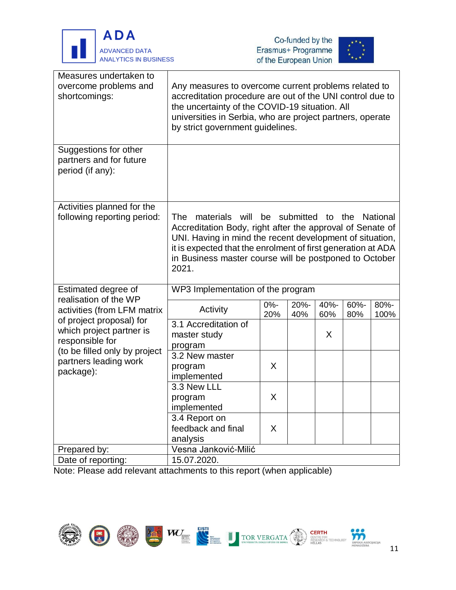





| Measures undertaken to<br>overcome problems and<br>shortcomings:                                                                                                                                       | Any measures to overcome current problems related to<br>accreditation procedure are out of the UNI control due to<br>the uncertainty of the COVID-19 situation. All<br>universities in Serbia, who are project partners, operate<br>by strict government guidelines.                 |               |             |             |             |              |
|--------------------------------------------------------------------------------------------------------------------------------------------------------------------------------------------------------|--------------------------------------------------------------------------------------------------------------------------------------------------------------------------------------------------------------------------------------------------------------------------------------|---------------|-------------|-------------|-------------|--------------|
| Suggestions for other<br>partners and for future<br>period (if any):                                                                                                                                   |                                                                                                                                                                                                                                                                                      |               |             |             |             |              |
| Activities planned for the<br>following reporting period:                                                                                                                                              | will<br>The<br>materials<br>Accreditation Body, right after the approval of Senate of<br>UNI. Having in mind the recent development of situation,<br>it is expected that the enrolment of first generation at ADA<br>in Business master course will be postponed to October<br>2021. | be            | submitted   | to          | the         | National     |
| Estimated degree of                                                                                                                                                                                    | WP3 Implementation of the program                                                                                                                                                                                                                                                    |               |             |             |             |              |
| realisation of the WP<br>activities (from LFM matrix<br>of project proposal) for<br>which project partner is<br>responsible for<br>(to be filled only by project<br>partners leading work<br>package): | Activity                                                                                                                                                                                                                                                                             | $0% -$<br>20% | 20%-<br>40% | 40%-<br>60% | 60%-<br>80% | 80%-<br>100% |
|                                                                                                                                                                                                        | 3.1 Accreditation of<br>master study<br>program                                                                                                                                                                                                                                      |               |             | X           |             |              |
|                                                                                                                                                                                                        | 3.2 New master<br>program<br>implemented                                                                                                                                                                                                                                             | X             |             |             |             |              |
|                                                                                                                                                                                                        | 3.3 New LLL<br>program<br>implemented                                                                                                                                                                                                                                                | X             |             |             |             |              |
|                                                                                                                                                                                                        | 3.4 Report on<br>feedback and final<br>analysis                                                                                                                                                                                                                                      | X             |             |             |             |              |
| Prepared by:                                                                                                                                                                                           | Vesna Janković-Milić                                                                                                                                                                                                                                                                 |               |             |             |             |              |
| Date of reporting:                                                                                                                                                                                     | 15.07.2020.                                                                                                                                                                                                                                                                          |               |             |             |             |              |

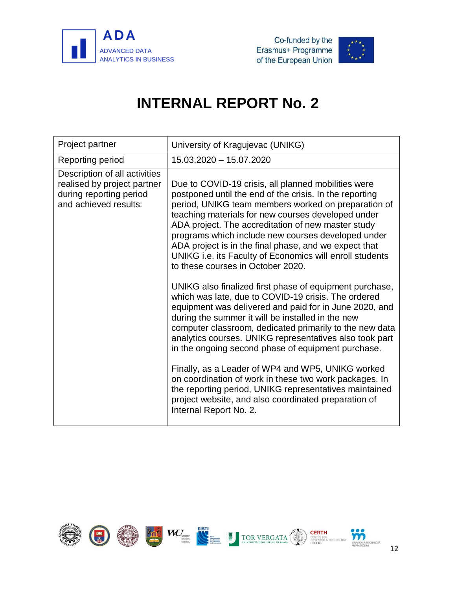



<span id="page-14-0"></span>

| Project partner                                                                                                  | University of Kragujevac (UNIKG)                                                                                                                                                                                                                                                                                                                                                                                                                                                                                                                                                                                                                                                                                                                                                                                                                                                                                                                                                                                                                                                                                                                                          |
|------------------------------------------------------------------------------------------------------------------|---------------------------------------------------------------------------------------------------------------------------------------------------------------------------------------------------------------------------------------------------------------------------------------------------------------------------------------------------------------------------------------------------------------------------------------------------------------------------------------------------------------------------------------------------------------------------------------------------------------------------------------------------------------------------------------------------------------------------------------------------------------------------------------------------------------------------------------------------------------------------------------------------------------------------------------------------------------------------------------------------------------------------------------------------------------------------------------------------------------------------------------------------------------------------|
| Reporting period                                                                                                 | 15.03.2020 - 15.07.2020                                                                                                                                                                                                                                                                                                                                                                                                                                                                                                                                                                                                                                                                                                                                                                                                                                                                                                                                                                                                                                                                                                                                                   |
| Description of all activities<br>realised by project partner<br>during reporting period<br>and achieved results: | Due to COVID-19 crisis, all planned mobilities were<br>postponed until the end of the crisis. In the reporting<br>period, UNIKG team members worked on preparation of<br>teaching materials for new courses developed under<br>ADA project. The accreditation of new master study<br>programs which include new courses developed under<br>ADA project is in the final phase, and we expect that<br>UNIKG i.e. its Faculty of Economics will enroll students<br>to these courses in October 2020.<br>UNIKG also finalized first phase of equipment purchase,<br>which was late, due to COVID-19 crisis. The ordered<br>equipment was delivered and paid for in June 2020, and<br>during the summer it will be installed in the new<br>computer classroom, dedicated primarily to the new data<br>analytics courses. UNIKG representatives also took part<br>in the ongoing second phase of equipment purchase.<br>Finally, as a Leader of WP4 and WP5, UNIKG worked<br>on coordination of work in these two work packages. In<br>the reporting period, UNIKG representatives maintained<br>project website, and also coordinated preparation of<br>Internal Report No. 2. |

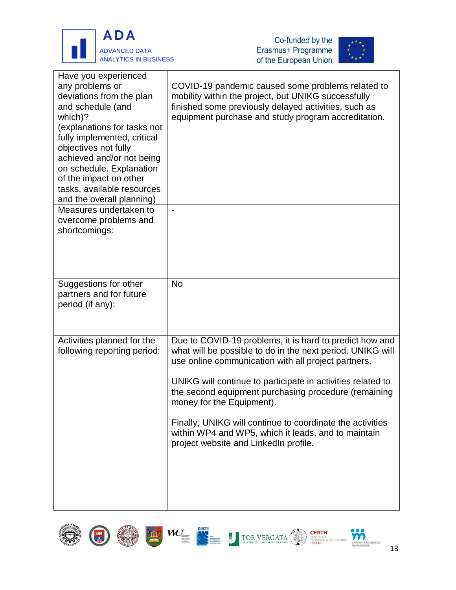





| Have you experienced<br>any problems or<br>deviations from the plan<br>and schedule (and<br>which)?<br>(explanations for tasks not<br>fully implemented, critical<br>objectives not fully<br>achieved and/or not being<br>on schedule. Explanation<br>of the impact on other<br>tasks, available resources<br>and the overall planning) | COVID-19 pandemic caused some problems related to<br>mobility within the project, but UNIKG successfully<br>finished some previously delayed activities, such as<br>equipment purchase and study program accreditation. |
|-----------------------------------------------------------------------------------------------------------------------------------------------------------------------------------------------------------------------------------------------------------------------------------------------------------------------------------------|-------------------------------------------------------------------------------------------------------------------------------------------------------------------------------------------------------------------------|
| Measures undertaken to                                                                                                                                                                                                                                                                                                                  | $\overline{\phantom{a}}$                                                                                                                                                                                                |
| overcome problems and<br>shortcomings:                                                                                                                                                                                                                                                                                                  |                                                                                                                                                                                                                         |
| Suggestions for other<br>partners and for future<br>period (if any):                                                                                                                                                                                                                                                                    | <b>No</b>                                                                                                                                                                                                               |
| Activities planned for the<br>following reporting period:                                                                                                                                                                                                                                                                               | Due to COVID-19 problems, it is hard to predict how and<br>what will be possible to do in the next period. UNIKG will<br>use online communication with all project partners.                                            |
|                                                                                                                                                                                                                                                                                                                                         | UNIKG will continue to participate in activities related to<br>the second equipment purchasing procedure (remaining<br>money for the Equipment).                                                                        |
|                                                                                                                                                                                                                                                                                                                                         | Finally, UNIKG will continue to coordinate the activities<br>within WP4 and WP5, which it leads, and to maintain<br>project website and LinkedIn profile.                                                               |
|                                                                                                                                                                                                                                                                                                                                         |                                                                                                                                                                                                                         |



**SRPSKA AS**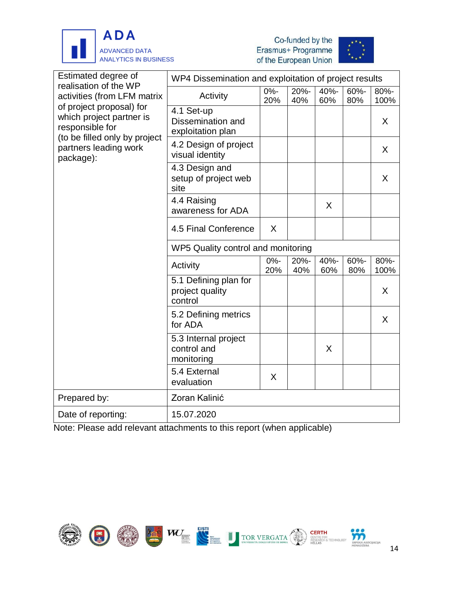





| Estimated degree of<br>realisation of the WP<br>activities (from LFM matrix<br>of project proposal) for<br>which project partner is<br>responsible for | WP4 Dissemination and exploitation of project results |               |             |             |             |              |
|--------------------------------------------------------------------------------------------------------------------------------------------------------|-------------------------------------------------------|---------------|-------------|-------------|-------------|--------------|
|                                                                                                                                                        | Activity                                              | $0% -$<br>20% | 20%-<br>40% | 40%-<br>60% | 60%-<br>80% | 80%-<br>100% |
|                                                                                                                                                        | 4.1 Set-up<br>Dissemination and<br>exploitation plan  |               |             |             |             | X            |
| (to be filled only by project<br>partners leading work<br>package):                                                                                    | 4.2 Design of project<br>visual identity              |               |             |             |             | X            |
|                                                                                                                                                        | 4.3 Design and<br>setup of project web<br>site        |               |             |             |             | X            |
|                                                                                                                                                        | 4.4 Raising<br>awareness for ADA                      |               |             | X           |             |              |
|                                                                                                                                                        | 4.5 Final Conference                                  | X             |             |             |             |              |
|                                                                                                                                                        | WP5 Quality control and monitoring                    |               |             |             |             |              |
|                                                                                                                                                        | Activity                                              | $0% -$<br>20% | 20%-<br>40% | 40%-<br>60% | 60%-<br>80% | 80%-<br>100% |
|                                                                                                                                                        | 5.1 Defining plan for<br>project quality<br>control   |               |             |             |             | X            |
|                                                                                                                                                        | 5.2 Defining metrics<br>for ADA                       |               |             |             |             | X            |
|                                                                                                                                                        | 5.3 Internal project<br>control and<br>monitoring     |               |             | X           |             |              |
|                                                                                                                                                        | 5.4 External<br>evaluation                            | X             |             |             |             |              |
| Prepared by:                                                                                                                                           | Zoran Kalinić                                         |               |             |             |             |              |
| Date of reporting:                                                                                                                                     | 15.07.2020                                            |               |             |             |             |              |

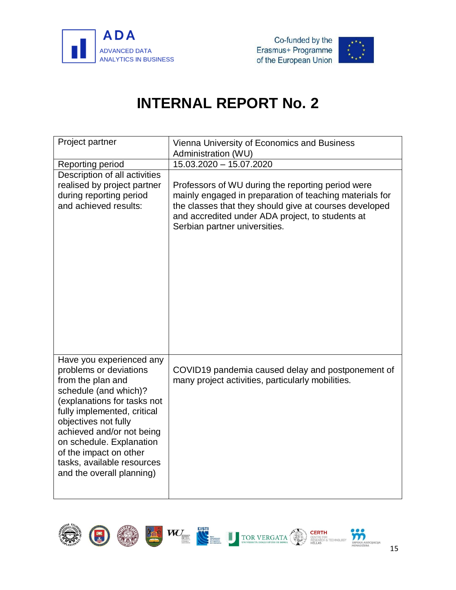



<span id="page-17-0"></span>

| Project partner                                                                                                                                                                                                                                                                                                                      | Vienna University of Economics and Business<br>Administration (WU)                                                                                                                                                                                          |
|--------------------------------------------------------------------------------------------------------------------------------------------------------------------------------------------------------------------------------------------------------------------------------------------------------------------------------------|-------------------------------------------------------------------------------------------------------------------------------------------------------------------------------------------------------------------------------------------------------------|
| Reporting period                                                                                                                                                                                                                                                                                                                     | $15.03.\overline{2020 - 15.07.2020}$                                                                                                                                                                                                                        |
| Description of all activities<br>realised by project partner<br>during reporting period<br>and achieved results:                                                                                                                                                                                                                     | Professors of WU during the reporting period were<br>mainly engaged in preparation of teaching materials for<br>the classes that they should give at courses developed<br>and accredited under ADA project, to students at<br>Serbian partner universities. |
| Have you experienced any<br>problems or deviations<br>from the plan and<br>schedule (and which)?<br>(explanations for tasks not<br>fully implemented, critical<br>objectives not fully<br>achieved and/or not being<br>on schedule. Explanation<br>of the impact on other<br>tasks, available resources<br>and the overall planning) | COVID19 pandemia caused delay and postponement of<br>many project activities, particularly mobilities.                                                                                                                                                      |

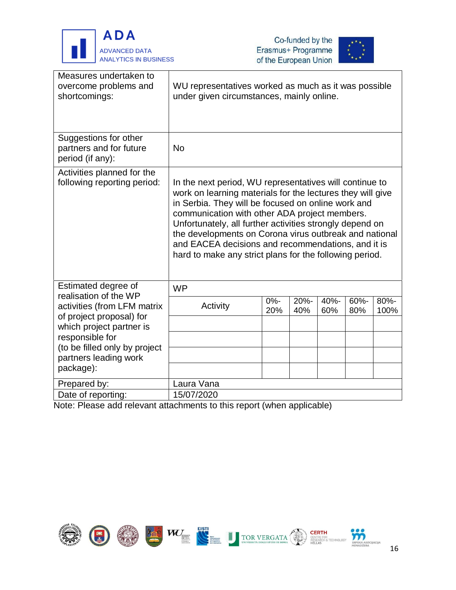





| Measures undertaken to<br>overcome problems and<br>shortcomings:     | WU representatives worked as much as it was possible<br>under given circumstances, mainly online.                                                                                                                                                                                                                                                                                                                                                                   |                |             |             |             |                 |
|----------------------------------------------------------------------|---------------------------------------------------------------------------------------------------------------------------------------------------------------------------------------------------------------------------------------------------------------------------------------------------------------------------------------------------------------------------------------------------------------------------------------------------------------------|----------------|-------------|-------------|-------------|-----------------|
| Suggestions for other<br>partners and for future<br>period (if any): | <b>No</b>                                                                                                                                                                                                                                                                                                                                                                                                                                                           |                |             |             |             |                 |
| Activities planned for the<br>following reporting period:            | In the next period, WU representatives will continue to<br>work on learning materials for the lectures they will give<br>in Serbia. They will be focused on online work and<br>communication with other ADA project members.<br>Unfortunately, all further activities strongly depend on<br>the developments on Corona virus outbreak and national<br>and EACEA decisions and recommendations, and it is<br>hard to make any strict plans for the following period. |                |             |             |             |                 |
| Estimated degree of<br>realisation of the WP                         | <b>WP</b>                                                                                                                                                                                                                                                                                                                                                                                                                                                           |                |             |             |             |                 |
| activities (from LFM matrix<br>of project proposal) for              | Activity                                                                                                                                                                                                                                                                                                                                                                                                                                                            | $0\% -$<br>20% | 20%-<br>40% | 40%-<br>60% | 60%-<br>80% | $80% -$<br>100% |
| which project partner is<br>responsible for                          |                                                                                                                                                                                                                                                                                                                                                                                                                                                                     |                |             |             |             |                 |
| (to be filled only by project<br>partners leading work               |                                                                                                                                                                                                                                                                                                                                                                                                                                                                     |                |             |             |             |                 |
| package):                                                            |                                                                                                                                                                                                                                                                                                                                                                                                                                                                     |                |             |             |             |                 |
| Prepared by:                                                         | Laura Vana                                                                                                                                                                                                                                                                                                                                                                                                                                                          |                |             |             |             |                 |
| Date of reporting:                                                   | 15/07/2020                                                                                                                                                                                                                                                                                                                                                                                                                                                          |                |             |             |             |                 |

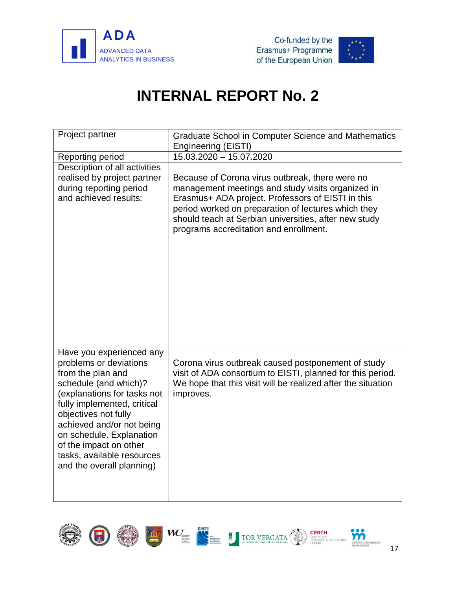



<span id="page-19-0"></span>

| Project partner                                                                                                                                                                                                                                                                                                                      | <b>Graduate School in Computer Science and Mathematics</b><br><b>Engineering (EISTI)</b>                                                                                                                                                                                                                            |
|--------------------------------------------------------------------------------------------------------------------------------------------------------------------------------------------------------------------------------------------------------------------------------------------------------------------------------------|---------------------------------------------------------------------------------------------------------------------------------------------------------------------------------------------------------------------------------------------------------------------------------------------------------------------|
| Reporting period                                                                                                                                                                                                                                                                                                                     | 15.03.2020 - 15.07.2020                                                                                                                                                                                                                                                                                             |
| Description of all activities<br>realised by project partner<br>during reporting period<br>and achieved results:                                                                                                                                                                                                                     | Because of Corona virus outbreak, there were no<br>management meetings and study visits organized in<br>Erasmus+ ADA project. Professors of EISTI in this<br>period worked on preparation of lectures which they<br>should teach at Serbian universities, after new study<br>programs accreditation and enrollment. |
| Have you experienced any<br>problems or deviations<br>from the plan and<br>schedule (and which)?<br>(explanations for tasks not<br>fully implemented, critical<br>objectives not fully<br>achieved and/or not being<br>on schedule. Explanation<br>of the impact on other<br>tasks, available resources<br>and the overall planning) | Corona virus outbreak caused postponement of study<br>visit of ADA consortium to EISTI, planned for this period.<br>We hope that this visit will be realized after the situation<br>improves.                                                                                                                       |

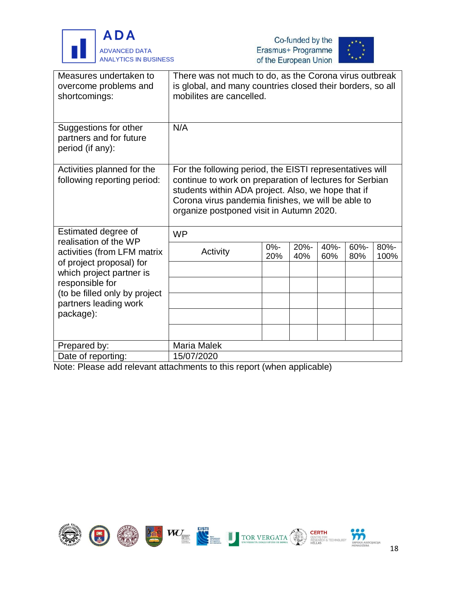





| Measures undertaken to<br>overcome problems and<br>shortcomings:     | There was not much to do, as the Corona virus outbreak<br>is global, and many countries closed their borders, so all<br>mobilites are cancelled.                                                                                                                            |               |             |             |                |              |
|----------------------------------------------------------------------|-----------------------------------------------------------------------------------------------------------------------------------------------------------------------------------------------------------------------------------------------------------------------------|---------------|-------------|-------------|----------------|--------------|
| Suggestions for other<br>partners and for future<br>period (if any): | N/A                                                                                                                                                                                                                                                                         |               |             |             |                |              |
| Activities planned for the<br>following reporting period:            | For the following period, the EISTI representatives will<br>continue to work on preparation of lectures for Serbian<br>students within ADA project. Also, we hope that if<br>Corona virus pandemia finishes, we will be able to<br>organize postponed visit in Autumn 2020. |               |             |             |                |              |
| Estimated degree of<br>realisation of the WP                         | <b>WP</b>                                                                                                                                                                                                                                                                   |               |             |             |                |              |
| activities (from LFM matrix                                          | Activity                                                                                                                                                                                                                                                                    | $0% -$<br>20% | 20%-<br>40% | 40%-<br>60% | $60% -$<br>80% | 80%-<br>100% |
| of project proposal) for<br>which project partner is                 |                                                                                                                                                                                                                                                                             |               |             |             |                |              |
| responsible for<br>(to be filled only by project                     |                                                                                                                                                                                                                                                                             |               |             |             |                |              |
| partners leading work                                                |                                                                                                                                                                                                                                                                             |               |             |             |                |              |
| package):                                                            |                                                                                                                                                                                                                                                                             |               |             |             |                |              |
|                                                                      |                                                                                                                                                                                                                                                                             |               |             |             |                |              |
| Prepared by:                                                         | <b>Maria Malek</b>                                                                                                                                                                                                                                                          |               |             |             |                |              |
| Date of reporting:                                                   | 15/07/2020                                                                                                                                                                                                                                                                  |               |             |             |                |              |

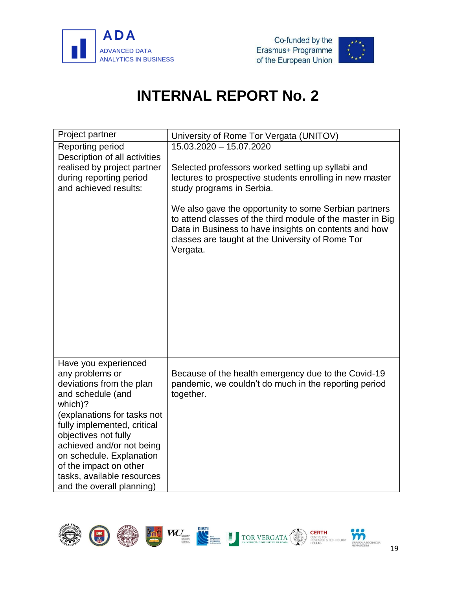



<span id="page-21-0"></span>

| Project partner                                                                                                                                                                                                                                                                                                                         | University of Rome Tor Vergata (UNITOV)                                                                                                                                                                                                                                                                                                                                                    |
|-----------------------------------------------------------------------------------------------------------------------------------------------------------------------------------------------------------------------------------------------------------------------------------------------------------------------------------------|--------------------------------------------------------------------------------------------------------------------------------------------------------------------------------------------------------------------------------------------------------------------------------------------------------------------------------------------------------------------------------------------|
| Reporting period                                                                                                                                                                                                                                                                                                                        | 15.03.2020 - 15.07.2020                                                                                                                                                                                                                                                                                                                                                                    |
| Description of all activities<br>realised by project partner<br>during reporting period<br>and achieved results:                                                                                                                                                                                                                        | Selected professors worked setting up syllabi and<br>lectures to prospective students enrolling in new master<br>study programs in Serbia.<br>We also gave the opportunity to some Serbian partners<br>to attend classes of the third module of the master in Big<br>Data in Business to have insights on contents and how<br>classes are taught at the University of Rome Tor<br>Vergata. |
|                                                                                                                                                                                                                                                                                                                                         |                                                                                                                                                                                                                                                                                                                                                                                            |
| Have you experienced<br>any problems or<br>deviations from the plan<br>and schedule (and<br>which)?<br>(explanations for tasks not<br>fully implemented, critical<br>objectives not fully<br>achieved and/or not being<br>on schedule. Explanation<br>of the impact on other<br>tasks, available resources<br>and the overall planning) | Because of the health emergency due to the Covid-19<br>pandemic, we couldn't do much in the reporting period<br>together.                                                                                                                                                                                                                                                                  |

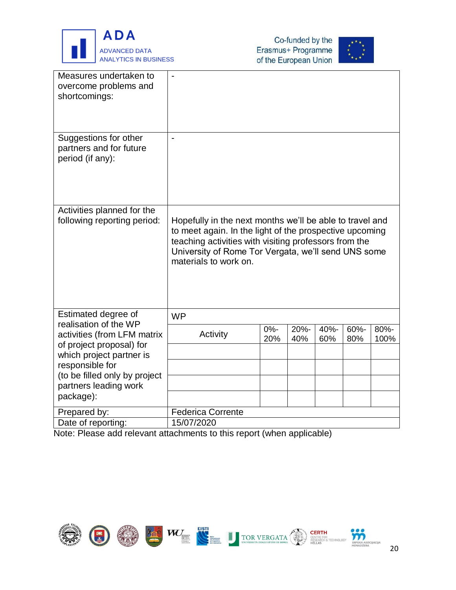





| Measures undertaken to<br>overcome problems and<br>shortcomings:                    | $\overline{a}$                                                                                                                                                                                                                                               |               |             |             |             |              |
|-------------------------------------------------------------------------------------|--------------------------------------------------------------------------------------------------------------------------------------------------------------------------------------------------------------------------------------------------------------|---------------|-------------|-------------|-------------|--------------|
| Suggestions for other<br>partners and for future<br>period (if any):                | $\overline{\phantom{0}}$                                                                                                                                                                                                                                     |               |             |             |             |              |
| Activities planned for the<br>following reporting period:                           | Hopefully in the next months we'll be able to travel and<br>to meet again. In the light of the prospective upcoming<br>teaching activities with visiting professors from the<br>University of Rome Tor Vergata, we'll send UNS some<br>materials to work on. |               |             |             |             |              |
| Estimated degree of<br>realisation of the WP                                        | <b>WP</b>                                                                                                                                                                                                                                                    |               |             |             |             |              |
| activities (from LFM matrix<br>of project proposal) for<br>which project partner is | Activity                                                                                                                                                                                                                                                     | $0% -$<br>20% | 20%-<br>40% | 40%-<br>60% | 60%-<br>80% | 80%-<br>100% |
| responsible for                                                                     |                                                                                                                                                                                                                                                              |               |             |             |             |              |
| (to be filled only by project<br>partners leading work                              |                                                                                                                                                                                                                                                              |               |             |             |             |              |
| package):                                                                           |                                                                                                                                                                                                                                                              |               |             |             |             |              |
| Prepared by:                                                                        | <b>Federica Corrente</b>                                                                                                                                                                                                                                     |               |             |             |             |              |
| Date of reporting:                                                                  | 15/07/2020                                                                                                                                                                                                                                                   |               |             |             |             |              |

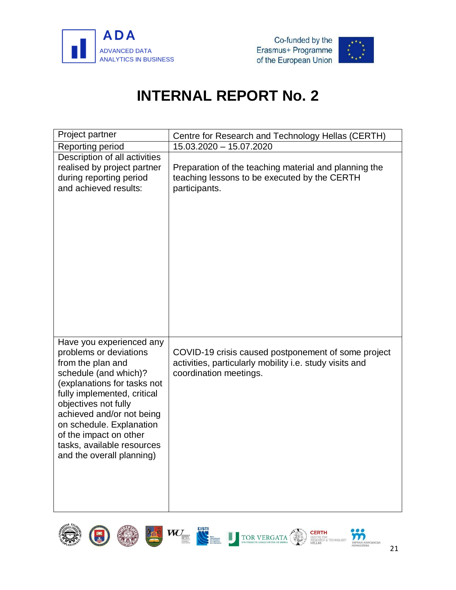

(1)

C



<span id="page-23-0"></span>

| Project partner                                                                                                                                                                                                                                                                                                                      | Centre for Research and Technology Hellas (CERTH)                                                                                        |
|--------------------------------------------------------------------------------------------------------------------------------------------------------------------------------------------------------------------------------------------------------------------------------------------------------------------------------------|------------------------------------------------------------------------------------------------------------------------------------------|
| Reporting period                                                                                                                                                                                                                                                                                                                     | 15.03.2020 - 15.07.2020                                                                                                                  |
| Description of all activities<br>realised by project partner<br>during reporting period<br>and achieved results:                                                                                                                                                                                                                     | Preparation of the teaching material and planning the<br>teaching lessons to be executed by the CERTH<br>participants.                   |
| Have you experienced any<br>problems or deviations<br>from the plan and<br>schedule (and which)?<br>(explanations for tasks not<br>fully implemented, critical<br>objectives not fully<br>achieved and/or not being<br>on schedule. Explanation<br>of the impact on other<br>tasks, available resources<br>and the overall planning) | COVID-19 crisis caused postponement of some project<br>activities, particularly mobility i.e. study visits and<br>coordination meetings. |



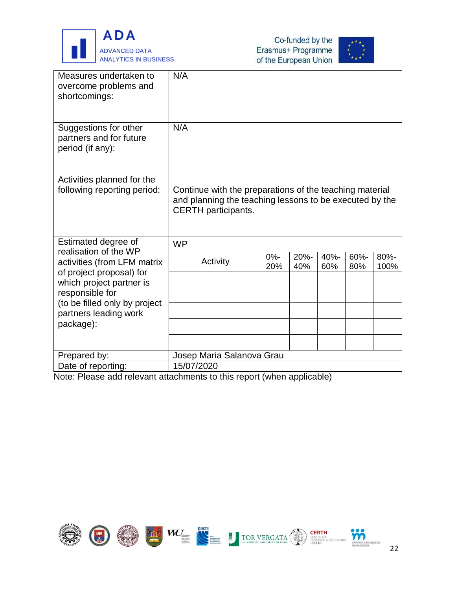





| Measures undertaken to<br>overcome problems and<br>shortcomings:                    | N/A                                                                                                                                              |               |             |             |             |              |  |  |  |
|-------------------------------------------------------------------------------------|--------------------------------------------------------------------------------------------------------------------------------------------------|---------------|-------------|-------------|-------------|--------------|--|--|--|
| Suggestions for other<br>partners and for future<br>period (if any):                | N/A                                                                                                                                              |               |             |             |             |              |  |  |  |
| Activities planned for the<br>following reporting period:                           | Continue with the preparations of the teaching material<br>and planning the teaching lessons to be executed by the<br><b>CERTH</b> participants. |               |             |             |             |              |  |  |  |
| Estimated degree of<br>realisation of the WP                                        | <b>WP</b>                                                                                                                                        |               |             |             |             |              |  |  |  |
| activities (from LFM matrix<br>of project proposal) for<br>which project partner is | Activity                                                                                                                                         | $0% -$<br>20% | 20%-<br>40% | 40%-<br>60% | 60%-<br>80% | 80%-<br>100% |  |  |  |
| responsible for                                                                     |                                                                                                                                                  |               |             |             |             |              |  |  |  |
| (to be filled only by project<br>partners leading work                              |                                                                                                                                                  |               |             |             |             |              |  |  |  |
| package):                                                                           |                                                                                                                                                  |               |             |             |             |              |  |  |  |
|                                                                                     |                                                                                                                                                  |               |             |             |             |              |  |  |  |
| Prepared by:                                                                        | Josep Maria Salanova Grau                                                                                                                        |               |             |             |             |              |  |  |  |
| Date of reporting:                                                                  | 15/07/2020                                                                                                                                       |               |             |             |             |              |  |  |  |

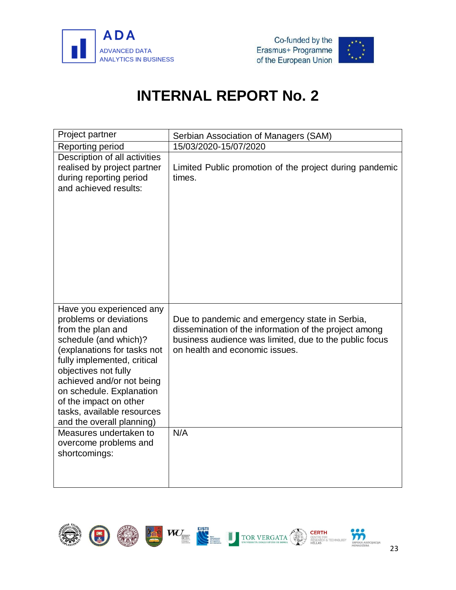



<span id="page-25-0"></span>

| Project partner                                                                                                                                                                                                                                                                                                                                                                                          | Serbian Association of Managers (SAM)                                                                                                                                                                      |  |  |
|----------------------------------------------------------------------------------------------------------------------------------------------------------------------------------------------------------------------------------------------------------------------------------------------------------------------------------------------------------------------------------------------------------|------------------------------------------------------------------------------------------------------------------------------------------------------------------------------------------------------------|--|--|
| Reporting period                                                                                                                                                                                                                                                                                                                                                                                         | 15/03/2020-15/07/2020                                                                                                                                                                                      |  |  |
| Description of all activities<br>realised by project partner<br>during reporting period<br>and achieved results:                                                                                                                                                                                                                                                                                         | Limited Public promotion of the project during pandemic<br>times.                                                                                                                                          |  |  |
| Have you experienced any<br>problems or deviations<br>from the plan and<br>schedule (and which)?<br>(explanations for tasks not<br>fully implemented, critical<br>objectives not fully<br>achieved and/or not being<br>on schedule. Explanation<br>of the impact on other<br>tasks, available resources<br>and the overall planning)<br>Measures undertaken to<br>overcome problems and<br>shortcomings: | Due to pandemic and emergency state in Serbia,<br>dissemination of the information of the project among<br>business audience was limited, due to the public focus<br>on health and economic issues.<br>N/A |  |  |